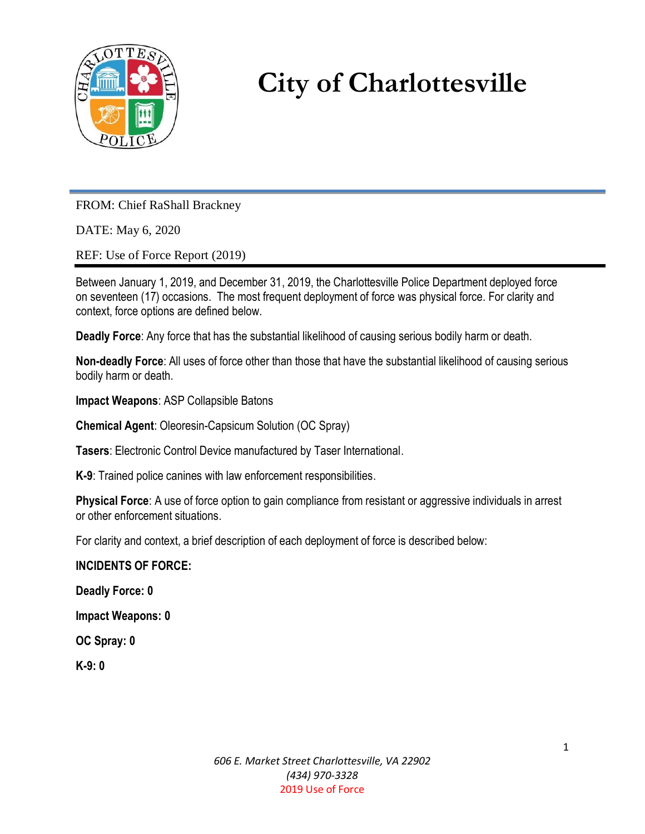

# **City of Charlottesville**

FROM: Chief RaShall Brackney

DATE: May 6, 2020

REF: Use of Force Report (2019)

Between January 1, 2019, and December 31, 2019, the Charlottesville Police Department deployed force on seventeen (17) occasions. The most frequent deployment of force was physical force. For clarity and context, force options are defined below.

**Deadly Force**: Any force that has the substantial likelihood of causing serious bodily harm or death.

**Non-deadly Force**: All uses of force other than those that have the substantial likelihood of causing serious bodily harm or death.

**Impact Weapons**: ASP Collapsible Batons

**Chemical Agent**: Oleoresin-Capsicum Solution (OC Spray)

**Tasers**: Electronic Control Device manufactured by Taser International.

**K-9**: Trained police canines with law enforcement responsibilities.

**Physical Force**: A use of force option to gain compliance from resistant or aggressive individuals in arrest or other enforcement situations.

For clarity and context, a brief description of each deployment of force is described below:

### **INCIDENTS OF FORCE:**

**Deadly Force: 0**

**Impact Weapons: 0**

**OC Spray: 0**

**K-9: 0**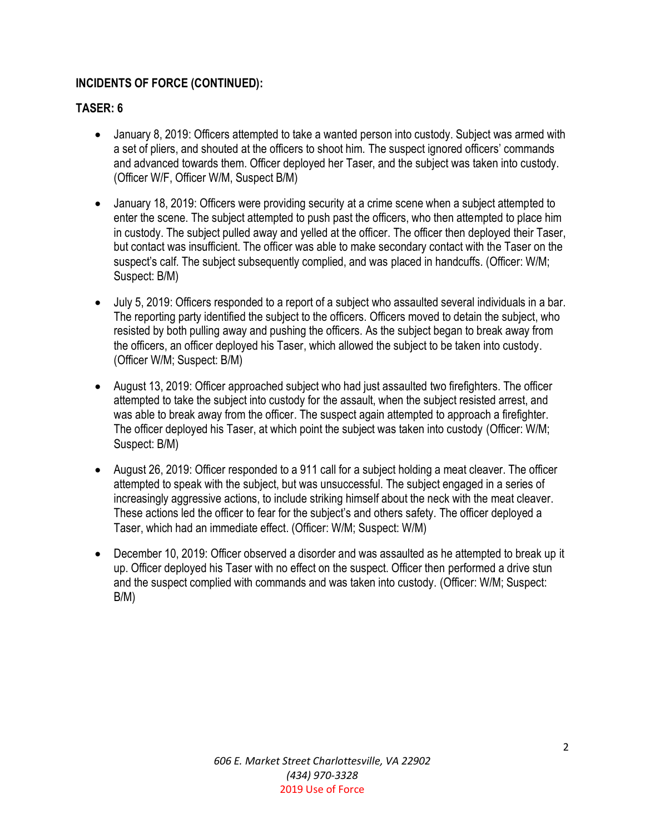## **INCIDENTS OF FORCE (CONTINUED):**

## **TASER: 6**

- January 8, 2019: Officers attempted to take a wanted person into custody. Subject was armed with a set of pliers, and shouted at the officers to shoot him. The suspect ignored officers' commands and advanced towards them. Officer deployed her Taser, and the subject was taken into custody. (Officer W/F, Officer W/M, Suspect B/M)
- January 18, 2019: Officers were providing security at a crime scene when a subject attempted to enter the scene. The subject attempted to push past the officers, who then attempted to place him in custody. The subject pulled away and yelled at the officer. The officer then deployed their Taser, but contact was insufficient. The officer was able to make secondary contact with the Taser on the suspect's calf. The subject subsequently complied, and was placed in handcuffs. (Officer: W/M; Suspect: B/M)
- July 5, 2019: Officers responded to a report of a subject who assaulted several individuals in a bar. The reporting party identified the subject to the officers. Officers moved to detain the subject, who resisted by both pulling away and pushing the officers. As the subject began to break away from the officers, an officer deployed his Taser, which allowed the subject to be taken into custody. (Officer W/M; Suspect: B/M)
- August 13, 2019: Officer approached subject who had just assaulted two firefighters. The officer attempted to take the subject into custody for the assault, when the subject resisted arrest, and was able to break away from the officer. The suspect again attempted to approach a firefighter. The officer deployed his Taser, at which point the subject was taken into custody (Officer: W/M; Suspect: B/M)
- August 26, 2019: Officer responded to a 911 call for a subject holding a meat cleaver. The officer attempted to speak with the subject, but was unsuccessful. The subject engaged in a series of increasingly aggressive actions, to include striking himself about the neck with the meat cleaver. These actions led the officer to fear for the subject's and others safety. The officer deployed a Taser, which had an immediate effect. (Officer: W/M; Suspect: W/M)
- December 10, 2019: Officer observed a disorder and was assaulted as he attempted to break up it up. Officer deployed his Taser with no effect on the suspect. Officer then performed a drive stun and the suspect complied with commands and was taken into custody. (Officer: W/M; Suspect: B/M)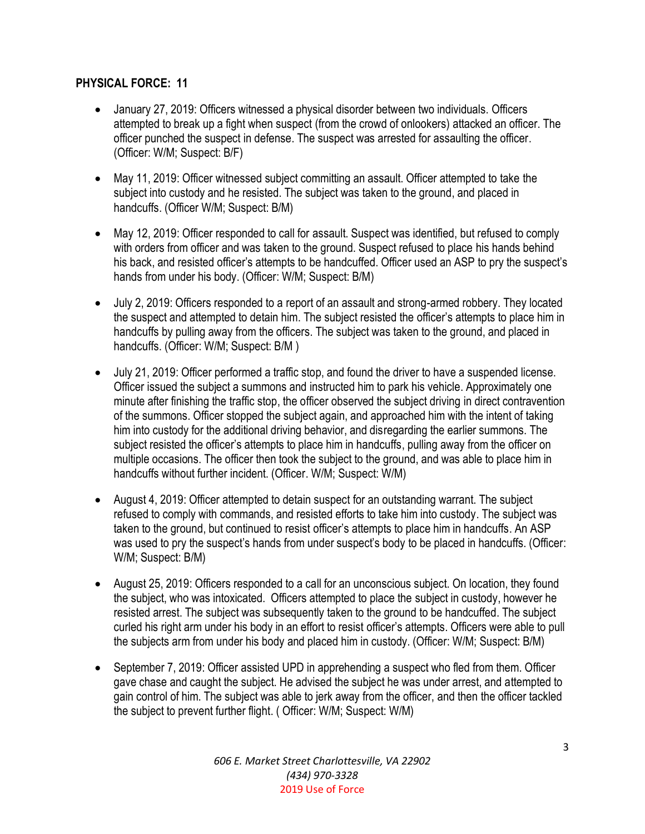## **PHYSICAL FORCE: 11**

- January 27, 2019: Officers witnessed a physical disorder between two individuals. Officers attempted to break up a fight when suspect (from the crowd of onlookers) attacked an officer. The officer punched the suspect in defense. The suspect was arrested for assaulting the officer. (Officer: W/M; Suspect: B/F)
- May 11, 2019: Officer witnessed subject committing an assault. Officer attempted to take the subject into custody and he resisted. The subject was taken to the ground, and placed in handcuffs. (Officer W/M; Suspect: B/M)
- May 12, 2019: Officer responded to call for assault. Suspect was identified, but refused to comply with orders from officer and was taken to the ground. Suspect refused to place his hands behind his back, and resisted officer's attempts to be handcuffed. Officer used an ASP to pry the suspect's hands from under his body. (Officer: W/M; Suspect: B/M)
- July 2, 2019: Officers responded to a report of an assault and strong-armed robbery. They located the suspect and attempted to detain him. The subject resisted the officer's attempts to place him in handcuffs by pulling away from the officers. The subject was taken to the ground, and placed in handcuffs. (Officer: W/M; Suspect: B/M )
- July 21, 2019: Officer performed a traffic stop, and found the driver to have a suspended license. Officer issued the subject a summons and instructed him to park his vehicle. Approximately one minute after finishing the traffic stop, the officer observed the subject driving in direct contravention of the summons. Officer stopped the subject again, and approached him with the intent of taking him into custody for the additional driving behavior, and disregarding the earlier summons. The subject resisted the officer's attempts to place him in handcuffs, pulling away from the officer on multiple occasions. The officer then took the subject to the ground, and was able to place him in handcuffs without further incident. (Officer. W/M; Suspect: W/M)
- August 4, 2019: Officer attempted to detain suspect for an outstanding warrant. The subject refused to comply with commands, and resisted efforts to take him into custody. The subject was taken to the ground, but continued to resist officer's attempts to place him in handcuffs. An ASP was used to pry the suspect's hands from under suspect's body to be placed in handcuffs. (Officer: W/M; Suspect: B/M)
- August 25, 2019: Officers responded to a call for an unconscious subject. On location, they found the subject, who was intoxicated. Officers attempted to place the subject in custody, however he resisted arrest. The subject was subsequently taken to the ground to be handcuffed. The subject curled his right arm under his body in an effort to resist officer's attempts. Officers were able to pull the subjects arm from under his body and placed him in custody. (Officer: W/M; Suspect: B/M)
- September 7, 2019: Officer assisted UPD in apprehending a suspect who fled from them. Officer gave chase and caught the subject. He advised the subject he was under arrest, and attempted to gain control of him. The subject was able to jerk away from the officer, and then the officer tackled the subject to prevent further flight. ( Officer: W/M; Suspect: W/M)